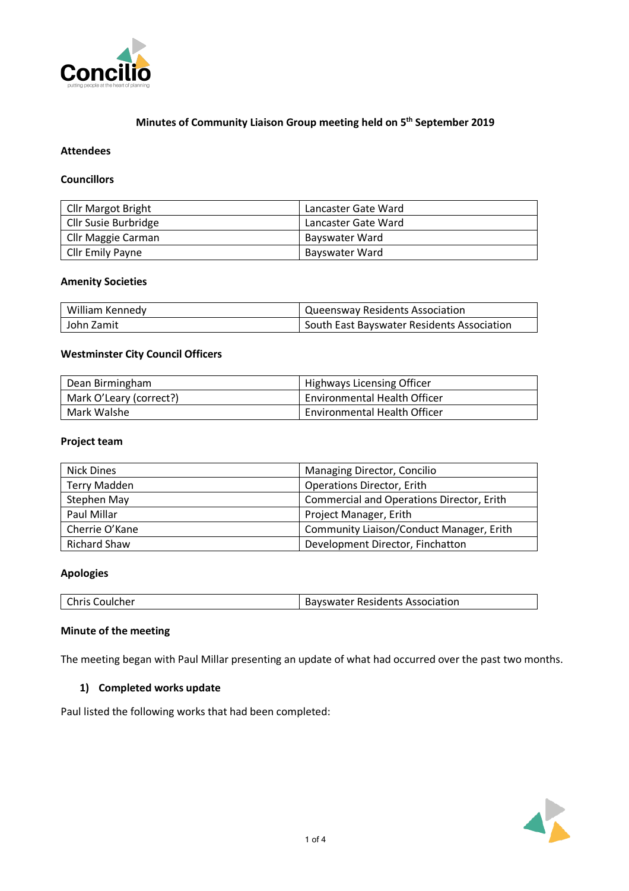

# **Minutes of Community Liaison Group meeting held on 5th September 2019**

### **Attendees**

### **Councillors**

| <b>Cllr Margot Bright</b> | Lancaster Gate Ward |
|---------------------------|---------------------|
| Cllr Susie Burbridge      | Lancaster Gate Ward |
| Cllr Maggie Carman        | Bayswater Ward      |
| Cllr Emily Payne          | Bayswater Ward      |

#### **Amenity Societies**

| William Kennedy | Queensway Residents Association            |
|-----------------|--------------------------------------------|
| John Zamit      | South East Bayswater Residents Association |

## **Westminster City Council Officers**

| Dean Birmingham         | Highways Licensing Officer   |  |  |
|-------------------------|------------------------------|--|--|
| Mark O'Leary (correct?) | Environmental Health Officer |  |  |
| Mark Walshe             | Environmental Health Officer |  |  |

#### **Project team**

| Nick Dines                                                      | Managing Director, Concilio              |  |  |  |
|-----------------------------------------------------------------|------------------------------------------|--|--|--|
| <b>Terry Madden</b><br><b>Operations Director, Erith</b>        |                                          |  |  |  |
| <b>Commercial and Operations Director, Erith</b><br>Stephen May |                                          |  |  |  |
| Paul Millar<br>Project Manager, Erith                           |                                          |  |  |  |
| Cherrie O'Kane                                                  | Community Liaison/Conduct Manager, Erith |  |  |  |
| Richard Shaw                                                    | Development Director, Finchatton         |  |  |  |

# **Apologies**

| Chris Coulcher | <b>Bayswater Residents Association</b> |
|----------------|----------------------------------------|
|----------------|----------------------------------------|

# **Minute of the meeting**

The meeting began with Paul Millar presenting an update of what had occurred over the past two months.

#### **1) Completed works update**

Paul listed the following works that had been completed:

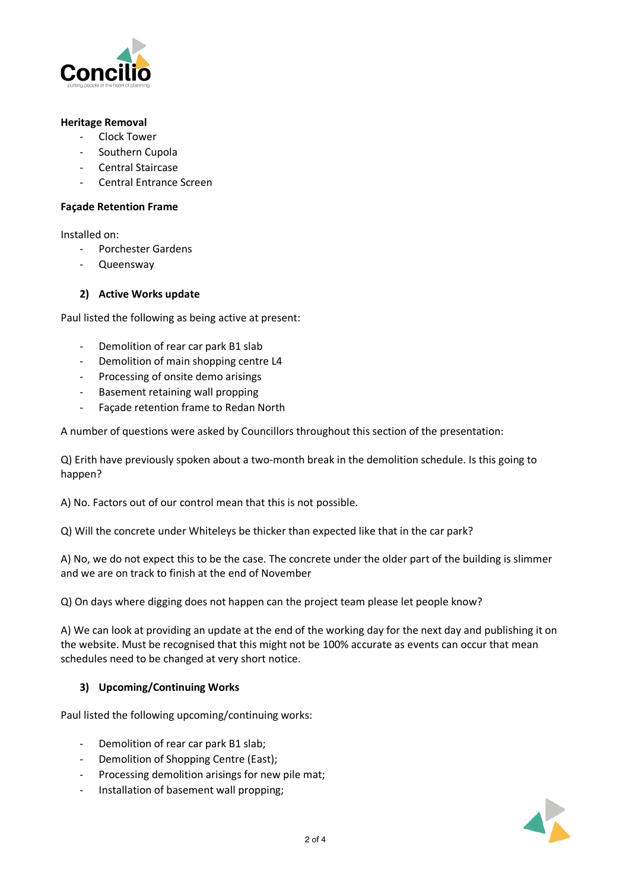

### **Heritage Removal**

- Clock Tower
- Southern Cupola
- Central Staircase
- Central Entrance Screen

#### **Façade Retention Frame**

Installed on:

- Porchester Gardens
- Queensway

### **2) Active Works update**

Paul listed the following as being active at present:

- Demolition of rear car park B1 slab
- Demolition of main shopping centre L4
- Processing of onsite demo arisings
- Basement retaining wall propping
- Façade retention frame to Redan North

A number of questions were asked by Councillors throughout this section of the presentation:

Q) Erith have previously spoken about a two-month break in the demolition schedule. Is this going to happen?

A) No. Factors out of our control mean that this is not possible.

Q) Will the concrete under Whiteleys be thicker than expected like that in the car park?

A) No, we do not expect this to be the case. The concrete under the older part of the building is slimmer and we are on track to finish at the end of November

Q) On days where digging does not happen can the project team please let people know?

A) We can look at providing an update at the end of the working day for the next day and publishing it on the website. Must be recognised that this might not be 100% accurate as events can occur that mean schedules need to be changed at very short notice.

# **3) Upcoming/Continuing Works**

Paul listed the following upcoming/continuing works:

- Demolition of rear car park B1 slab;
- Demolition of Shopping Centre (East);
- Processing demolition arisings for new pile mat;
- Installation of basement wall propping;

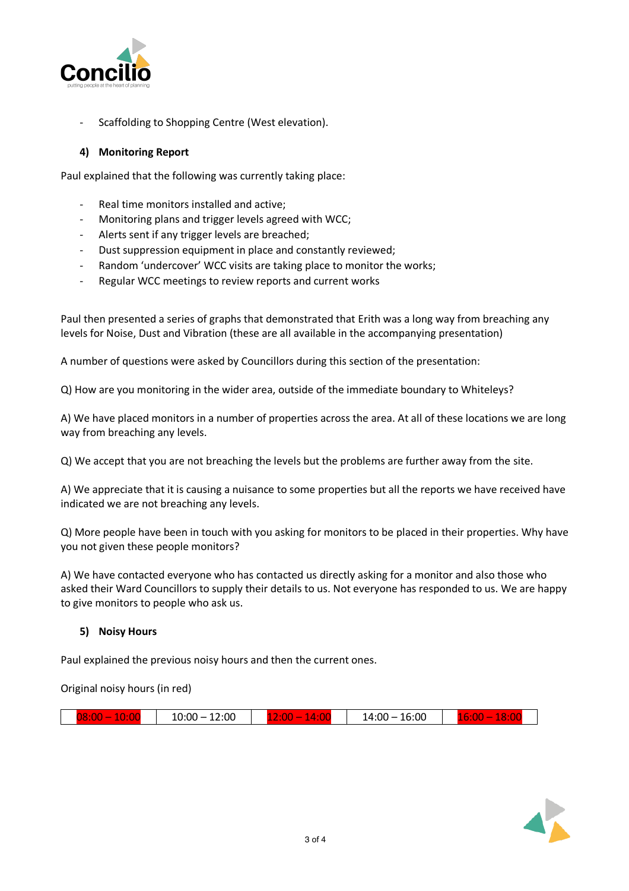

Scaffolding to Shopping Centre (West elevation).

# **4) Monitoring Report**

Paul explained that the following was currently taking place:

- Real time monitors installed and active;
- Monitoring plans and trigger levels agreed with WCC;
- Alerts sent if any trigger levels are breached;
- Dust suppression equipment in place and constantly reviewed;
- Random 'undercover' WCC visits are taking place to monitor the works;
- Regular WCC meetings to review reports and current works

Paul then presented a series of graphs that demonstrated that Erith was a long way from breaching any levels for Noise, Dust and Vibration (these are all available in the accompanying presentation)

A number of questions were asked by Councillors during this section of the presentation:

Q) How are you monitoring in the wider area, outside of the immediate boundary to Whiteleys?

A) We have placed monitors in a number of properties across the area. At all of these locations we are long way from breaching any levels.

Q) We accept that you are not breaching the levels but the problems are further away from the site.

A) We appreciate that it is causing a nuisance to some properties but all the reports we have received have indicated we are not breaching any levels.

Q) More people have been in touch with you asking for monitors to be placed in their properties. Why have you not given these people monitors?

A) We have contacted everyone who has contacted us directly asking for a monitor and also those who asked their Ward Councillors to supply their details to us. Not everyone has responded to us. We are happy to give monitors to people who ask us.

# **5) Noisy Hours**

Paul explained the previous noisy hours and then the current ones.

Original noisy hours (in red)

|  | $\sim$<br>-----<br>$\sim$ | 12:00<br>0.001<br>$\overline{\phantom{0}}$ |  | $\sim$<br>$\sim$<br>$\sim$<br>20 Z<br>$\sim$<br>--<br>$\sim$ |  | 16:00<br>14:00 |  | 707<br>$\mathbf{R}$<br>$\sim$ $\sim$ |  |
|--|---------------------------|--------------------------------------------|--|--------------------------------------------------------------|--|----------------|--|--------------------------------------|--|
|--|---------------------------|--------------------------------------------|--|--------------------------------------------------------------|--|----------------|--|--------------------------------------|--|